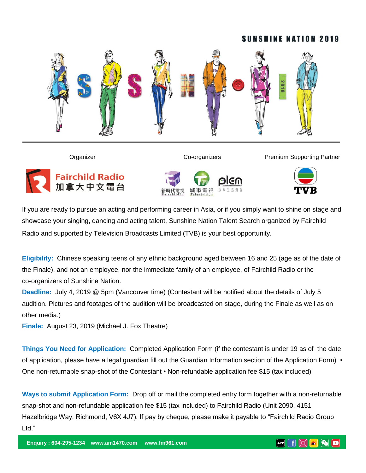#### **SUNSHINE NATION 2019**









If you are ready to pursue an acting and performing career in Asia, or if you simply want to shine on stage and showcase your singing, dancing and acting talent, Sunshine Nation Talent Search organized by Fairchild Radio and supported by Television Broadcasts Limited (TVB) is your best opportunity.

**Eligibility:** Chinese speaking teens of any ethnic background aged between 16 and 25 (age as of the date of the Finale), and not an employee, nor the immediate family of an employee, of Fairchild Radio or the co-organizers of Sunshine Nation.

**Deadline:** July 4, 2019 @ 5pm (Vancouver time) (Contestant will be notified about the details of July 5 audition. Pictures and footages of the audition will be broadcasted on stage, during the Finale as well as on other media.)

**Finale:** August 23, 2019 (Michael J. Fox Theatre)

**Things You Need for Application:** Completed Application Form (if the contestant is under 19 as of the date of application, please have a legal guardian fill out the Guardian Information section of the Application Form) • One non-returnable snap-shot of the Contestant • Non-refundable application fee \$15 (tax included)

**Ways to submit Application Form:** Drop off or mail the completed entry form together with a non-returnable snap-shot and non-refundable application fee \$15 (tax included) to Fairchild Radio (Unit 2090, 4151 Hazelbridge Way, Richmond, V6X 4J7). If pay by cheque, please make it payable to "Fairchild Radio Group Ltd."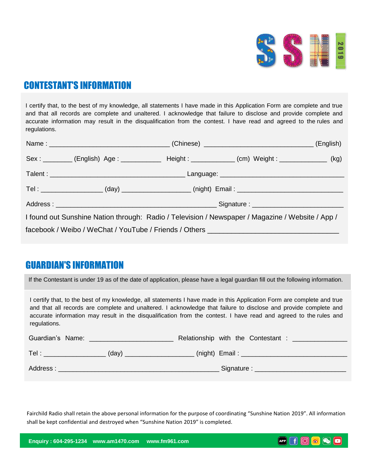

# CONTESTANT'S INFORMATION

I certify that, to the best of my knowledge, all statements I have made in this Application Form are complete and true and that all records are complete and unaltered. I acknowledge that failure to disclose and provide complete and accurate information may result in the disqualification from the contest. I have read and agreed to the rules and regulations.

|                                                                                  |  |  |                                                                                                  | <sub>.</sub> (English) |  |  |
|----------------------------------------------------------------------------------|--|--|--------------------------------------------------------------------------------------------------|------------------------|--|--|
|                                                                                  |  |  | Sex: _________ (English) Age: ___________ Height: __________ (cm) Weight: ____________ (kg)      |                        |  |  |
|                                                                                  |  |  |                                                                                                  |                        |  |  |
|                                                                                  |  |  |                                                                                                  |                        |  |  |
|                                                                                  |  |  |                                                                                                  |                        |  |  |
|                                                                                  |  |  | I found out Sunshine Nation through: Radio / Television / Newspaper / Magazine / Website / App / |                        |  |  |
| facebook / Weibo / WeChat / YouTube / Friends / Others _________________________ |  |  |                                                                                                  |                        |  |  |

#### GUARDIAN'S INFORMATION

If the Contestant is under 19 as of the date of application, please have a legal guardian fill out the following information.

I certify that, to the best of my knowledge, all statements I have made in this Application Form are complete and true and that all records are complete and unaltered. I acknowledge that failure to disclose and provide complete and accurate information may result in the disqualification from the contest. I have read and agreed to the rules and regulations.

| Guardian's Name: |       | Relationship with the Contestant : |  |
|------------------|-------|------------------------------------|--|
| Tel:             | (day) | $(night)$ Email:                   |  |
| Address:         |       | Signature :                        |  |

Fairchild Radio shall retain the above personal information for the purpose of coordinating "Sunshine Nation 2019". All information shall be kept confidential and destroyed when "Sunshine Nation 2019" is completed.

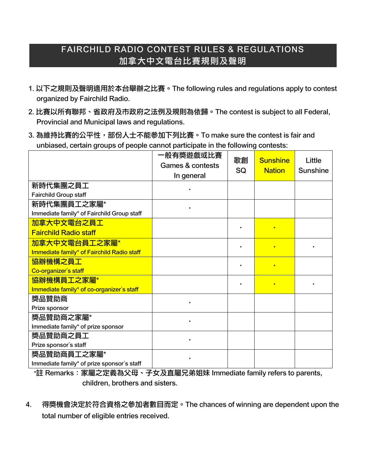# FAIRCHILD RADIO CONTEST RULES & REGULATIONS 加拿大中文電台比賽規則及聲明

- 1. 以下之規則及聲明適用於本台舉辦之比賽。The following rules and regulations apply to contest organized by Fairchild Radio.
- 2. 比賽以所有聯邦、省政府及市政府之法例及規則為依歸。The contest is subject to all Federal, Provincial and Municipal laws and regulations.
- 3. 為維持比賽的公平性,部份人士不能參加下列比賽。To make sure the contest is fair and unbiased, certain groups of people cannot participate in the following contests:

|                                            | 一般有奬遊戲或比賽                   | 歌創<br>SQ | <b>Sunshine</b><br><b>Nation</b> | Little<br><b>Sunshine</b> |
|--------------------------------------------|-----------------------------|----------|----------------------------------|---------------------------|
|                                            | <b>Games &amp; contests</b> |          |                                  |                           |
|                                            | In general                  |          |                                  |                           |
| 新時代集團之員工                                   |                             |          |                                  |                           |
| <b>Fairchild Group staff</b>               |                             |          |                                  |                           |
| 新時代集團員工之家屬*                                |                             |          |                                  |                           |
| Immediate family* of Fairchild Group staff |                             |          |                                  |                           |
| 加拿大中文電台之員工                                 |                             |          |                                  |                           |
| <b>Fairchild Radio staff</b>               |                             |          |                                  |                           |
| 加拿大中文電台員工之家屬*                              |                             |          | ×                                |                           |
| Immediate family* of Fairchild Radio staff |                             |          |                                  |                           |
| 協辦機構之員工                                    |                             |          | ٠                                |                           |
| Co-organizer's staff                       |                             |          |                                  |                           |
| 協辦機構員工之家屬*                                 |                             |          |                                  |                           |
| Immediate family* of co-organizer's staff  |                             |          |                                  |                           |
| 獎品贊助商                                      |                             |          |                                  |                           |
| Prize sponsor                              |                             |          |                                  |                           |
| 獎品贊助商之家屬*                                  |                             |          |                                  |                           |
| Immediate family* of prize sponsor         |                             |          |                                  |                           |
| 獎品贊助商之員工                                   |                             |          |                                  |                           |
| Prize sponsor's staff                      |                             |          |                                  |                           |
| 獎品贊助商員工之家屬*                                |                             |          |                                  |                           |
| Immediate family* of prize sponsor's staff |                             |          |                                  |                           |

\*註 Remarks:家屬之定義為父母、子女及直屬兄弟姐妹 Immediate family refers to parents, children, brothers and sisters.

4. 得獎機會決定於符合資格之參加者數目而定。The chances of winning are dependent upon the total number of eligible entries received.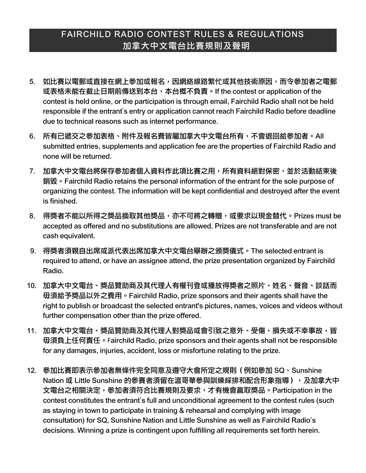## FAIRCHILD RADIO CONTEST RULES & REGULATIONS 加拿大中文電台比賽規則及聲明

- 5. 如比賽以電郵或直接在網上參加或報名,因網絡線路繁忙或其他技術原因,而令參加者之電郵 或表格未能在截止日期前傳送到本台,本台概不負責。If the contest or application of the contest is held online, or the participation is through email, Fairchild Radio shall not be held responsible if the entrant's entry or application cannot reach Fairchild Radio before deadline due to technical reasons such as internet performance.
- 6. 所有已遞交之參加表格、附件及報名費皆屬加拿大中文電台所有,不會退回給參加者。All submitted entries, supplements and application fee are the properties of Fairchild Radio and none will be returned.
- 7. 加拿大中文電台將保存參加者個人資料作此項比賽之用,所有資料絕對保密,並於活動結束後 銷毀 • Fairchild Radio retains the personal information of the entrant for the sole purpose of organizing the contest. The information will be kept confidential and destroyed after the event is finished.
- 8. 得獎者不能以所得之獎品換取其他獎品,亦不可將之轉贈,或要求以現金替代。Prizes must be accepted as offered and no substitutions are allowed. Prizes are not transferable and are not cash equivalent.
- 9. 得獎者須親自出席或派代表出席加拿大中文電台舉辦之頒獎儀式。The selected entrant is required to attend, or have an assignee attend, the prize presentation organized by Fairchild Radio.
- 10. 加拿大中文電台、獎品贊助商及其代理人有權刊登或播放得獎者之照片、姓名、聲音、談話而 毋須給予獎品以外之費用。Fairchild Radio, prize sponsors and their agents shall have the right to publish or broadcast the selected entrant's pictures, names, voices and videos without further compensation other than the prize offered.
- 11. 加拿大中文電台、獎品贊助商及其代理人對獎品或會引致之意外、受傷、損失或不幸事故,皆 毋須負上任何責任。Fairchild Radio, prize sponsors and their agents shall not be responsible for any damages, injuries, accident, loss or misfortune relating to the prize.
- 12. 參加比賽即表示參加者無條件完全同意及遵守大會所定之規則(例如參加 SQ、Sunshine Nation 或 Little Sunshine 的參賽者須留在溫哥華參與訓練綵排和配合形象指導), 及加拿大中 文電台之相關決定,參加者須符合比賽規則及要求,才有機會贏取獎品。Participation in the contest constitutes the entrant's full and unconditional agreement to the contest rules (such as staying in town to participate in training & rehearsal and complying with image consultation) for SQ, Sunshine Nation and Little Sunshine as well as Fairchild Radio's decisions. Winning a prize is contingent upon fulfilling all requirements set forth herein.